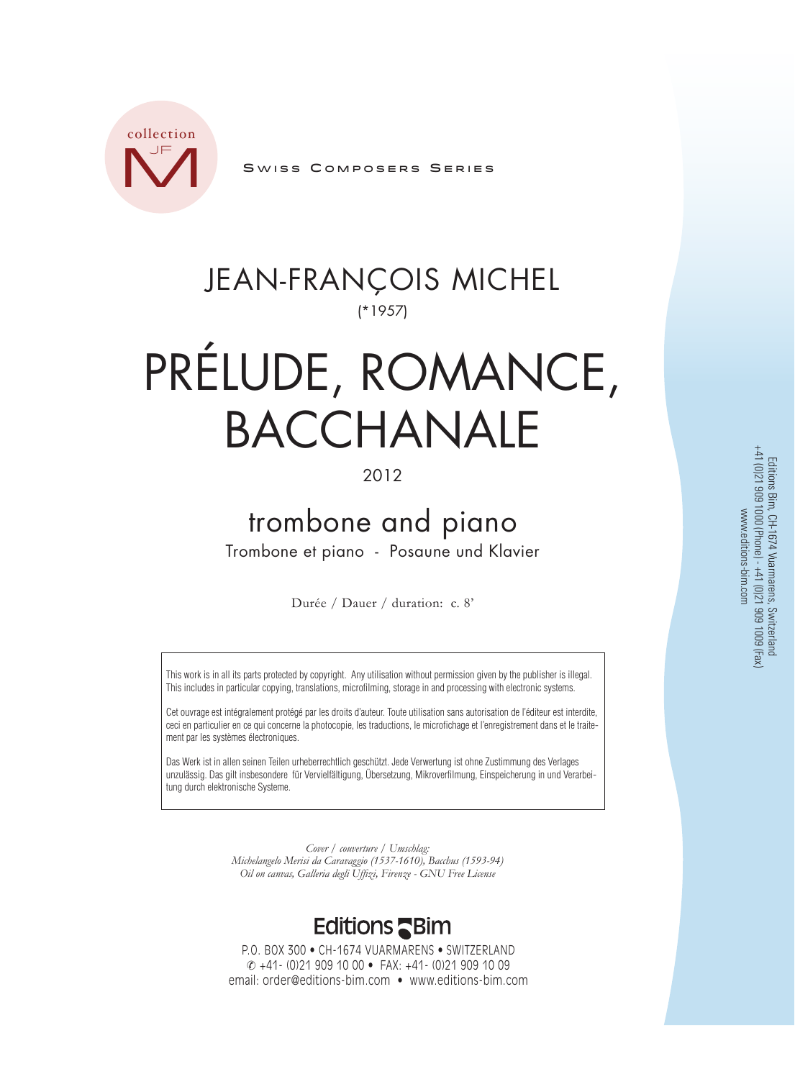

SWISS COMPOSERS SERIES

## (\*1957) JEAN-FRANÇOIS MICHEL

# PRÉLUDE, ROMANCE, BACCHANALE

2012

## Trombone et piano - Posaune und Klavier trombone and piano

Durée / Dauer / duration: c. 8'

This work is in all its parts protected by copyright. Any utilisation without permission given by the publisher is illegal. This includes in particular copying, translations, microfilming, storage in and processing with electronic systems.

Cet ouvrage est intégralement protégé par les droits d'auteur. Toute utilisation sans autorisation de l'éditeur est interdite, ceci en particulier en ce qui concerne la photocopie, les traductions, le microfichage et l'enregistrement dans et le traitement par les systèmes électroniques.

Das Werk ist in allen seinen Teilen urheberrechtlich geschützt. Jede Verwertung ist ohne Zustimmung des Verlages unzulässig. Das gilt insbesondere für Vervielfältigung, Übersetzung, Mikroverfilmung, Einspeicherung in und Verarbeitung durch elektronische Systeme.

> *Cover / couverture / Umschlag: Michelangelo Merisi da Caravaggio (1537-1610), Bacchus (1593-94) Oil on canvas, Galleria degli Uffizi, Firenze - GNU Free License*

## **Editions** Shim

P.O. BOX 300 • CH-1674 VUARMARENS • SWITZERLAND +41- (0)21 909 10 00 • FAX: +41- (0)21 909 10 09 email: order@editions-bim.com • www.editions-bim.com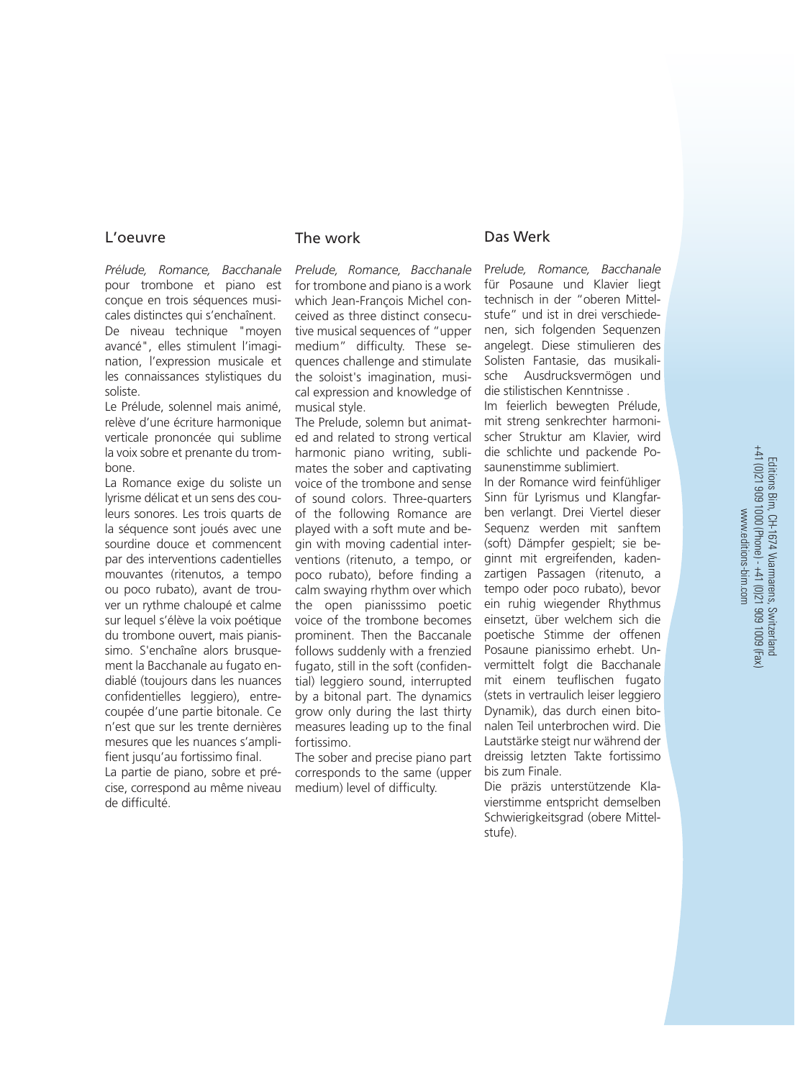#### L'oeuvre

*Prélude, Romance, Bacchanale*  pour trombone et piano est conçue en trois séquences musicales distinctes qui s'enchaînent. De niveau technique "moyen avancé", elles stimulent l'imagination, l'expression musicale et les connaissances stylistiques du soliste.

Le Prélude, solennel mais animé, relève d'une écriture harmonique verticale prononcée qui sublime la voix sobre et prenante du trombone.

La Romance exige du soliste un lyrisme délicat et un sens des couleurs sonores. Les trois quarts de la séquence sont joués avec une sourdine douce et commencent par des interventions cadentielles mouvantes (ritenutos, a tempo ou poco rubato), avant de trouver un rythme chaloupé et calme sur lequel s'élève la voix poétique du trombone ouvert, mais pianissimo. S'enchaîne alors brusquement la Bacchanale au fugato endiablé (toujours dans les nuances confidentielles leggiero), entrecoupée d'une partie bitonale. Ce n'est que sur les trente dernières mesures que les nuances s'amplifient jusqu'au fortissimo final.

La partie de piano, sobre et précise, correspond au même niveau de difficulté.

#### The work

*Prelude, Romance, Bacchanale* for trombone and piano is a work which Jean-François Michel conceived as three distinct consecutive musical sequences of "upper medium" difficulty. These sequences challenge and stimulate the soloist's imagination, musical expression and knowledge of musical style.

The Prelude, solemn but animated and related to strong vertical harmonic piano writing, sublimates the sober and captivating voice of the trombone and sense of sound colors. Three-quarters of the following Romance are played with a soft mute and begin with moving cadential interventions (ritenuto, a tempo, or poco rubato), before finding a calm swaying rhythm over which the open pianisssimo poetic voice of the trombone becomes prominent. Then the Baccanale follows suddenly with a frenzied fugato, still in the soft (confidential) leggiero sound, interrupted by a bitonal part. The dynamics grow only during the last thirty measures leading up to the final fortissimo.

The sober and precise piano part corresponds to the same (upper medium) level of difficulty.

#### Das Werk

P*relude, Romance, Bacchanale* für Posaune und Klavier liegt technisch in der "oberen Mittelstufe" und ist in drei verschiedenen, sich folgenden Sequenzen angelegt. Diese stimulieren des Solisten Fantasie, das musikalische Ausdrucksvermögen und die stilistischen Kenntnisse .

Im feierlich bewegten Prélude, mit streng senkrechter harmonischer Struktur am Klavier, wird die schlichte und packende Posaunenstimme sublimiert.

In der Romance wird feinfühliger Sinn für Lyrismus und Klangfarben verlangt. Drei Viertel dieser Sequenz werden mit sanftem (soft) Dämpfer gespielt; sie beginnt mit ergreifenden, kadenzartigen Passagen (ritenuto, a tempo oder poco rubato), bevor ein ruhig wiegender Rhythmus einsetzt, über welchem sich die poetische Stimme der offenen Posaune pianissimo erhebt. Unvermittelt folgt die Bacchanale mit einem teuflischen fugato (stets in vertraulich leiser leggiero Dynamik), das durch einen bitonalen Teil unterbrochen wird. Die Lautstärke steigt nur während der dreissig letzten Takte fortissimo bis zum Finale.

Die präzis unterstützende Klavierstimme entspricht demselben Schwierigkeitsgrad (obere Mittelstufe).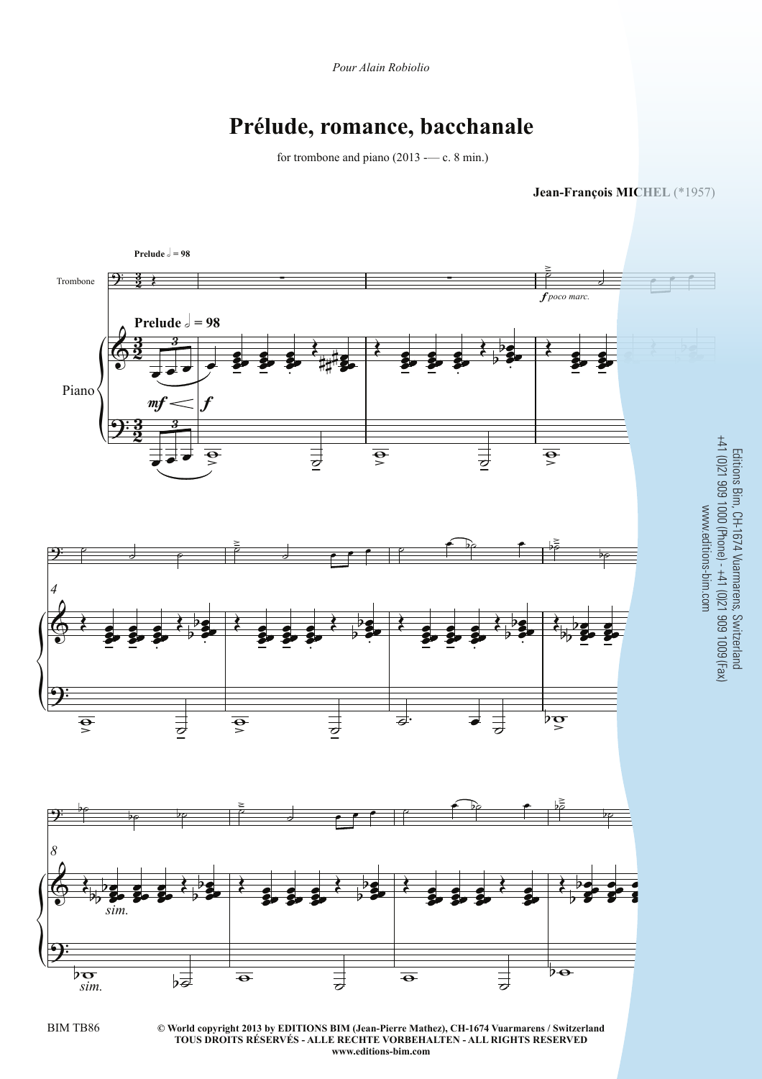Pour Alain Robiolio

### Prélude, romance, bacchanale

for trombone and piano (2013 --- c. 8 min.)

#### Jean-François MICHEL (\*1957)



**BIM TB86** 

© World copyright 2013 by EDITIONS BIM (Jean-Pierre Mathez), CH-1674 Vuarmarens / Switzerland TOUS DROITS RÉSERVÉS - ALLE RECHTE VORBEHALTEN - ALL RIGHTS RESERVED www.editions-bim.com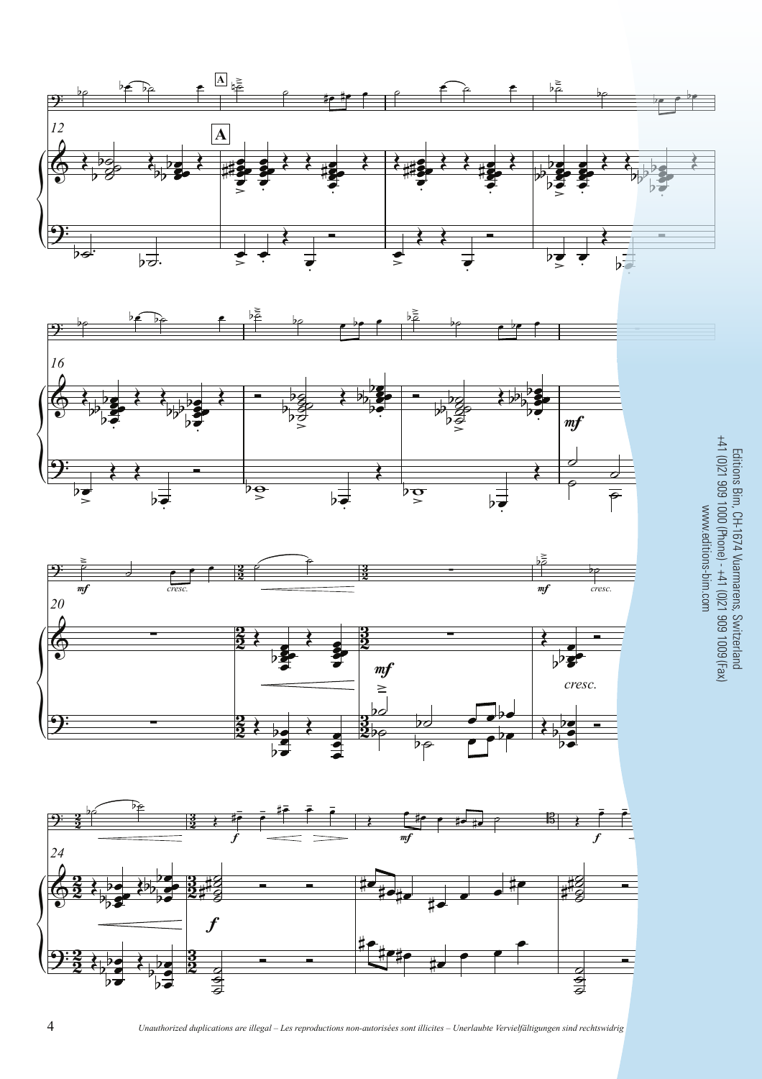







Unauthorized duplications are illegal - Les reproductions non-autorisées sont illicites - Unerlaubte Vervielfältigungen sind rechtswidrig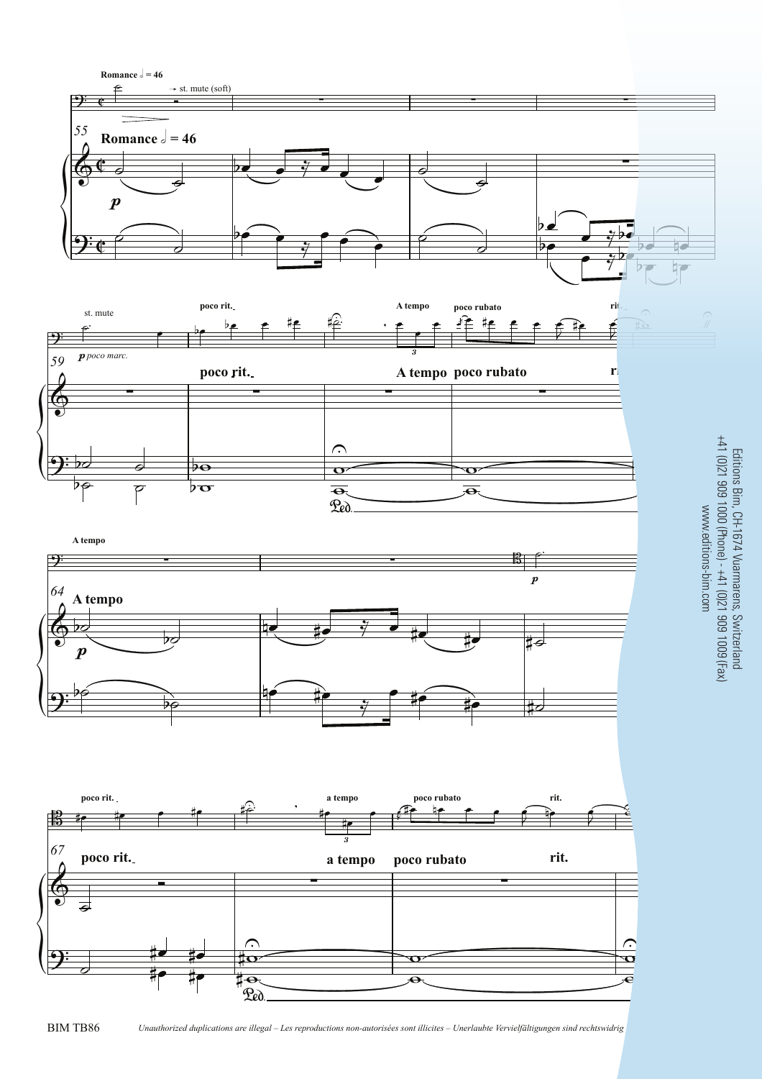

BIM TB86 *Unauthorized duplications are illegal – Les reproductions non-autorisées sont illicites – Unerlaubte Vervielfältigungen sind rechtswidrig* 7

Editions Bim, CH-1674 Vuarmarens, Switzerland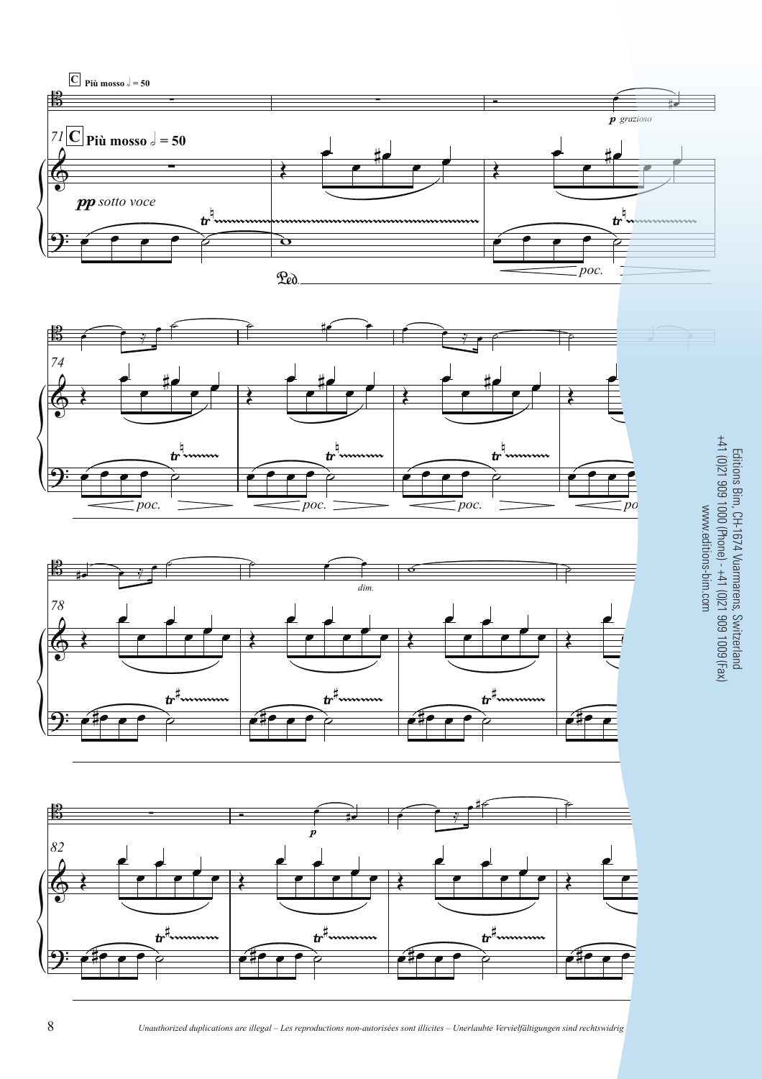

Editions Bim, CH-1674 Vuarmarens, Switzerland +41 (0)21 909 1000 (Phone) - +41 (0)21 909 1009 (Fax)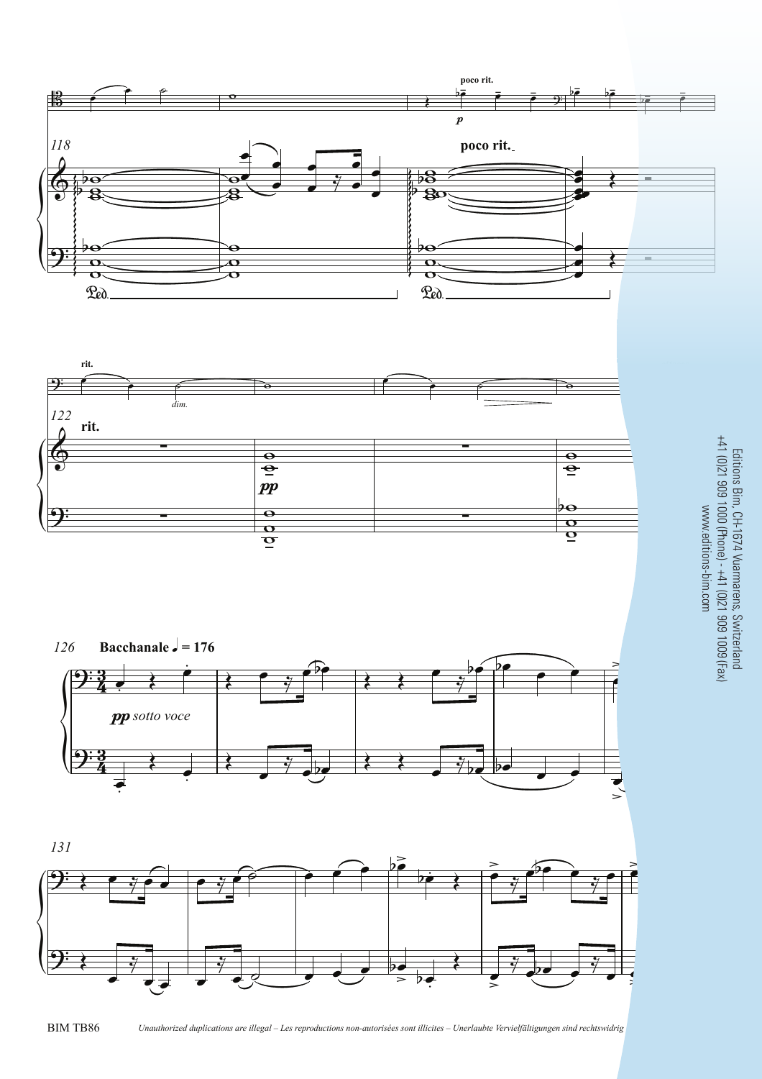







BIM TB86 *Unauthorized duplications are illegal – Les reproductions non-autorisées sont illicites – Unerlaubte Vervielfältigungen sind rechtswidrig* 11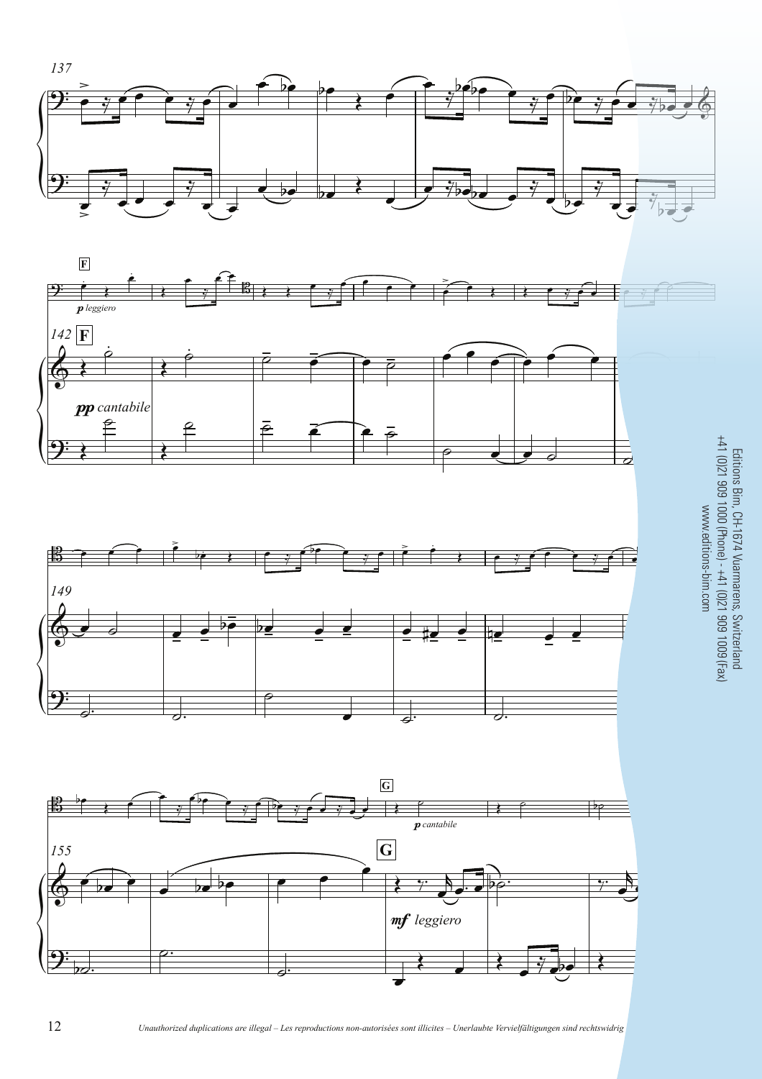







Editions Bim, CH-1674 Vuarmarens, Switzerland<br>+41 (0)21 909 1000 (Phone) - +41 (0)21 909 1009 (Fax)<br>www.editions-bim.com +41 (0)21 909 1000 (Phone) - +41 (0)21 909 1009 (Fax) Editions Bim, CH-1674 Vuarmarens, Switzerland www.editions-bim.com